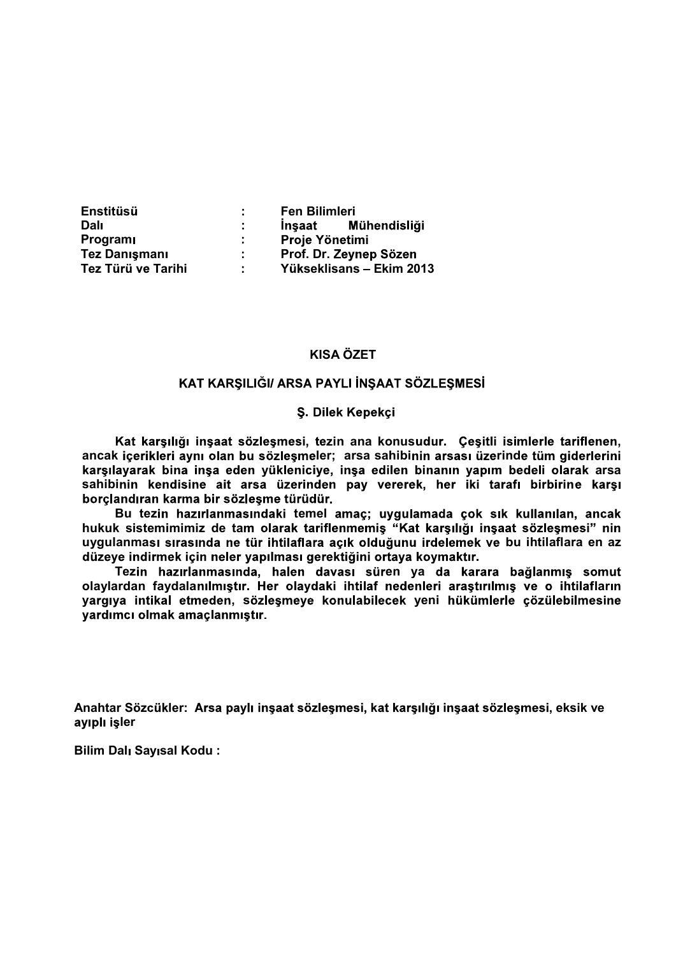| <b>Enstitüsü</b>     |              | <b>Fen Bilimleri</b>     |
|----------------------|--------------|--------------------------|
| <b>Dali</b>          |              | Insaat Mühendisliği      |
| <b>Program</b>       | di s         | Proje Yönetimi           |
| <b>Tez Danışmanı</b> | <b>State</b> | Prof. Dr. Zeynep Sözen   |
| Tez Türü ve Tarihi   |              | Yükseklisans – Ekim 2013 |

# KISA ÖZET

#### **S. Dilek Kepekçi**

Kat karşılığı inşaat sözleşmesi, tezin ana konusudur. Çeşitli isimlerle tariflenen,<br>ancak icerikleri avnı olan bu sözlesmeler: arsa sahibinin arsası üzerinde tüm giderlerini karşılayarak bina inşa eden yükleniciye, inşa edilen binanın yapım bedeli olarak arsa sahibinin kendisine ait arsa üzerinden pay vererek, her iki tarafı birbirine karşı borçlandıran karma bir sözleşme türüdür.<br>Bu tezin hazırlanmasındaki temel amaç; uygulamada çok sık kullanılan, ancak

hukuk sistemimimiz de tam olarak tariflenmemiş "Kat karşılığı inşaat sözleşmesi" nin uygulanması sırasında ne tür ihtilaflara açık olduğunu irdelemek ve bu ihtilaflara en az düzeye indirmek için neler yapılması gerektiğini ortaya koymaktır.

Tezin hazırlanmasında, halen davası süren ya da karara bağlanmış somut olaylardan faydalanılmıştır. Her olaydaki ihtilaf nedenleri araştırılmış ve o ihtilafların yargıya intikal etmeden, sözleşmeye konulabilecek yeni hükümlerle çözülebilmesine yardımcı olmak amaçlanmıştır.

Anahtar Sözcükler: Arsa paylı inşaat sözleşmesi, kat karşılığı inşaat sözleşmesi, eksik ve ayıplı işler

Bilim Dalı Sayısal Kodu: